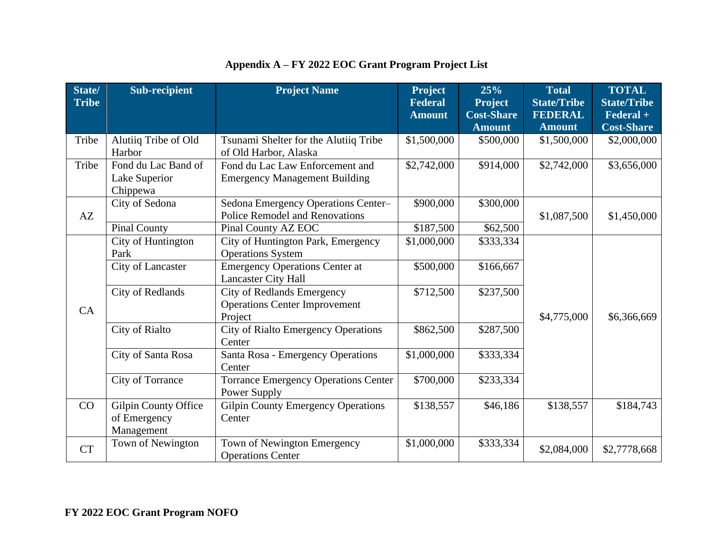| State/<br><b>Tribe</b> | <b>Sub-recipient</b>                               | <b>Project Name</b>                                                                  | <b>Project</b><br><b>Federal</b> | 25%<br><b>Project</b>              | <b>Total</b><br><b>State/Tribe</b> | <b>TOTAL</b><br><b>State/Tribe</b>                 |
|------------------------|----------------------------------------------------|--------------------------------------------------------------------------------------|----------------------------------|------------------------------------|------------------------------------|----------------------------------------------------|
|                        |                                                    |                                                                                      | <b>Amount</b>                    | <b>Cost-Share</b><br><b>Amount</b> | <b>FEDERAL</b><br><b>Amount</b>    | $\overline{\text{Federal}}$ +<br><b>Cost-Share</b> |
| Tribe                  | Alutiiq Tribe of Old<br>Harbor                     | Tsunami Shelter for the Alutiiq Tribe<br>of Old Harbor, Alaska                       | \$1,500,000                      | \$500,000                          | \$1,500,000                        | \$2,000,000                                        |
| Tribe                  | Fond du Lac Band of<br>Lake Superior<br>Chippewa   | Fond du Lac Law Enforcement and<br><b>Emergency Management Building</b>              | \$2,742,000                      | \$914,000                          | \$2,742,000                        | \$3,656,000                                        |
| AZ                     | City of Sedona                                     | Sedona Emergency Operations Center-<br><b>Police Remodel and Renovations</b>         | \$900,000                        | \$300,000                          | \$1,087,500                        | \$1,450,000                                        |
|                        | <b>Pinal County</b>                                | Pinal County AZ EOC                                                                  | \$187,500                        | \$62,500                           |                                    |                                                    |
|                        | City of Huntington<br>Park                         | City of Huntington Park, Emergency<br><b>Operations System</b>                       | \$1,000,000                      | \$333,334                          |                                    |                                                    |
|                        | City of Lancaster                                  | <b>Emergency Operations Center at</b><br><b>Lancaster City Hall</b>                  | \$500,000                        | \$166,667                          |                                    |                                                    |
| CA                     | <b>City of Redlands</b>                            | <b>City of Redlands Emergency</b><br><b>Operations Center Improvement</b><br>Project | \$712,500                        | \$237,500                          | \$4,775,000                        | \$6,366,669                                        |
|                        | <b>City of Rialto</b>                              | <b>City of Rialto Emergency Operations</b><br>Center                                 | \$862,500                        | \$287,500                          |                                    |                                                    |
|                        | City of Santa Rosa                                 | Santa Rosa - Emergency Operations<br>Center                                          | \$1,000,000                      | \$333,334                          |                                    |                                                    |
|                        | <b>City of Torrance</b>                            | <b>Torrance Emergency Operations Center</b><br>Power Supply                          | \$700,000                        | \$233,334                          |                                    |                                                    |
| CO                     | Gilpin County Office<br>of Emergency<br>Management | <b>Gilpin County Emergency Operations</b><br>Center                                  | \$138,557                        | \$46,186                           | \$138,557                          | \$184,743                                          |
| <b>CT</b>              | Town of Newington                                  | Town of Newington Emergency<br><b>Operations Center</b>                              | \$1,000,000                      | \$333,334                          | \$2,084,000                        | \$2,7778,668                                       |

## **Appendix A – FY 2022 EOC Grant Program Project List**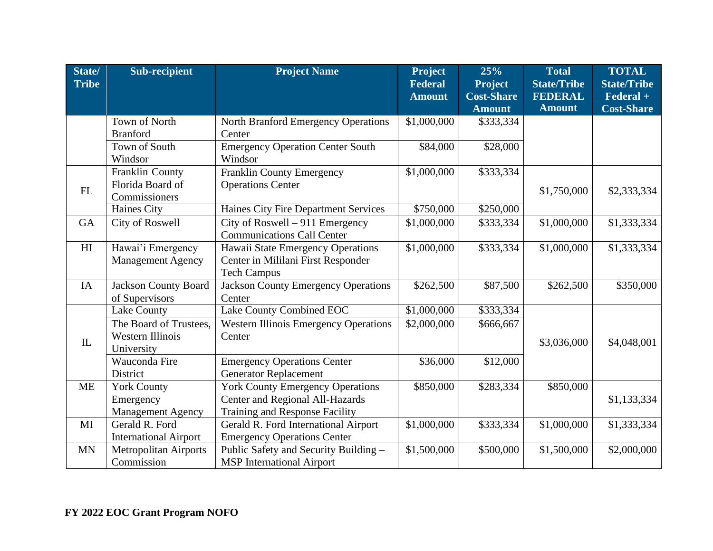| State/         | Sub-recipient                | <b>Project Name</b>                          | <b>Project</b> | 25%               | <b>Total</b>       | <b>TOTAL</b>       |
|----------------|------------------------------|----------------------------------------------|----------------|-------------------|--------------------|--------------------|
| <b>Tribe</b>   |                              |                                              | <b>Federal</b> | <b>Project</b>    | <b>State/Tribe</b> | <b>State/Tribe</b> |
|                |                              |                                              | <b>Amount</b>  | <b>Cost-Share</b> | <b>FEDERAL</b>     | Federal +          |
|                |                              |                                              |                | <b>Amount</b>     | <b>Amount</b>      | <b>Cost-Share</b>  |
|                | Town of North                | North Branford Emergency Operations          | \$1,000,000    | \$333,334         |                    |                    |
|                | <b>Branford</b>              | Center                                       |                |                   |                    |                    |
|                | Town of South                | <b>Emergency Operation Center South</b>      | \$84,000       | \$28,000          |                    |                    |
|                | Windsor                      | Windsor                                      |                |                   |                    |                    |
|                | Franklin County              | <b>Franklin County Emergency</b>             | \$1,000,000    | \$333,334         |                    |                    |
| FL             | Florida Board of             | <b>Operations Center</b>                     |                |                   | \$1,750,000        | \$2,333,334        |
|                | Commissioners                |                                              |                |                   |                    |                    |
|                | <b>Haines City</b>           | Haines City Fire Department Services         | \$750,000      | \$250,000         |                    |                    |
| <b>GA</b>      | City of Roswell              | City of Roswell $-911$ Emergency             | \$1,000,000    | \$333,334         | \$1,000,000        | \$1,333,334        |
|                |                              | <b>Communications Call Center</b>            |                |                   |                    |                    |
| H <sub>I</sub> | Hawai'i Emergency            | Hawaii State Emergency Operations            | \$1,000,000    | \$333,334         | \$1,000,000        | \$1,333,334        |
|                | <b>Management Agency</b>     | Center in Mililani First Responder           |                |                   |                    |                    |
|                |                              | <b>Tech Campus</b>                           |                |                   |                    |                    |
| <b>IA</b>      | <b>Jackson County Board</b>  | <b>Jackson County Emergency Operations</b>   | \$262,500      | \$87,500          | \$262,500          | \$350,000          |
|                | of Supervisors               | Center                                       |                |                   |                    |                    |
|                | <b>Lake County</b>           | Lake County Combined EOC                     | \$1,000,000    | \$333,334         |                    |                    |
|                | The Board of Trustees,       | <b>Western Illinois Emergency Operations</b> | \$2,000,000    | \$666,667         |                    |                    |
| IL             | <b>Western Illinois</b>      | Center                                       |                |                   | \$3,036,000        | \$4,048,001        |
|                | University                   |                                              |                |                   |                    |                    |
|                | Wauconda Fire                | <b>Emergency Operations Center</b>           | \$36,000       | \$12,000          |                    |                    |
|                | District                     | <b>Generator Replacement</b>                 |                |                   |                    |                    |
| <b>ME</b>      | <b>York County</b>           | <b>York County Emergency Operations</b>      | \$850,000      | \$283,334         | \$850,000          |                    |
|                | Emergency                    | Center and Regional All-Hazards              |                |                   |                    | \$1,133,334        |
|                | <b>Management Agency</b>     | Training and Response Facility               |                |                   |                    |                    |
| MI             | Gerald R. Ford               | Gerald R. Ford International Airport         | \$1,000,000    | \$333,334         | \$1,000,000        | \$1,333,334        |
|                | <b>International Airport</b> | <b>Emergency Operations Center</b>           |                |                   |                    |                    |
| <b>MN</b>      | <b>Metropolitan Airports</b> | Public Safety and Security Building -        | \$1,500,000    | \$500,000         | \$1,500,000        | \$2,000,000        |
|                | Commission                   | <b>MSP</b> International Airport             |                |                   |                    |                    |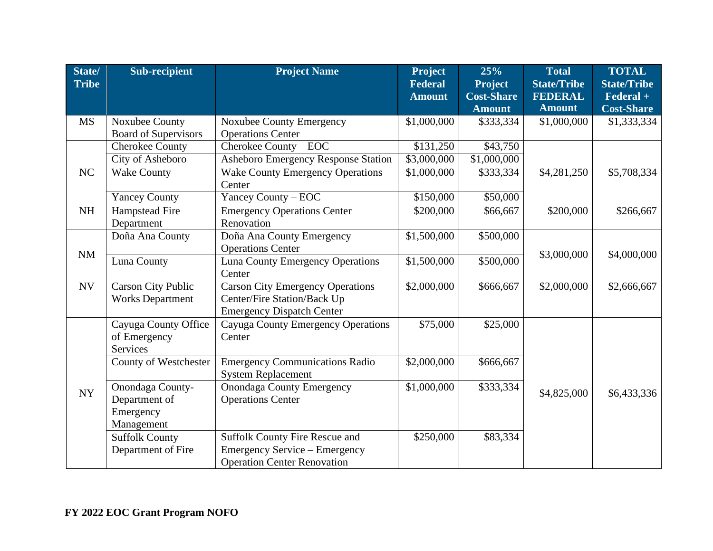| State/       | <b>Sub-recipient</b>        | <b>Project Name</b>                     | <b>Project</b> | 25%                     | <b>Total</b>       | <b>TOTAL</b>       |
|--------------|-----------------------------|-----------------------------------------|----------------|-------------------------|--------------------|--------------------|
| <b>Tribe</b> |                             |                                         | <b>Federal</b> | <b>Project</b>          | <b>State/Tribe</b> | <b>State/Tribe</b> |
|              |                             |                                         | <b>Amount</b>  | <b>Cost-Share</b>       | <b>FEDERAL</b>     | Federal +          |
|              |                             |                                         |                | <b>Amount</b>           | <b>Amount</b>      | <b>Cost-Share</b>  |
| <b>MS</b>    | Noxubee County              | <b>Noxubee County Emergency</b>         | \$1,000,000    | \$333,334               | \$1,000,000        | \$1,333,334        |
|              | <b>Board of Supervisors</b> | <b>Operations Center</b>                |                |                         |                    |                    |
|              | <b>Cherokee County</b>      | Cherokee County - EOC                   | \$131,250      | \$43,750                |                    |                    |
|              | City of Asheboro            | Asheboro Emergency Response Station     | \$3,000,000    | $\overline{$}1,000,000$ |                    |                    |
| NC           | <b>Wake County</b>          | <b>Wake County Emergency Operations</b> | \$1,000,000    | \$333,334               | \$4,281,250        | \$5,708,334        |
|              |                             | Center                                  |                |                         |                    |                    |
|              | <b>Yancey County</b>        | Yancey County - EOC                     | \$150,000      | \$50,000                |                    |                    |
| NH           | Hampstead Fire              | <b>Emergency Operations Center</b>      | \$200,000      | \$66,667                | \$200,000          | \$266,667          |
|              | Department                  | Renovation                              |                |                         |                    |                    |
|              | Doña Ana County             | Doña Ana County Emergency               | \$1,500,000    | \$500,000               |                    |                    |
| NM           |                             | <b>Operations Center</b>                |                |                         | \$3,000,000        | \$4,000,000        |
|              | Luna County                 | <b>Luna County Emergency Operations</b> | \$1,500,000    | \$500,000               |                    |                    |
|              |                             | Center                                  |                |                         |                    |                    |
| <b>NV</b>    | <b>Carson City Public</b>   | <b>Carson City Emergency Operations</b> | \$2,000,000    | \$666,667               | \$2,000,000        | \$2,666,667        |
|              | <b>Works Department</b>     | Center/Fire Station/Back Up             |                |                         |                    |                    |
|              |                             | <b>Emergency Dispatch Center</b>        |                |                         |                    |                    |
|              | Cayuga County Office        | Cayuga County Emergency Operations      | \$75,000       | \$25,000                |                    |                    |
|              | of Emergency                | Center                                  |                |                         |                    |                    |
|              | Services                    |                                         |                |                         |                    |                    |
|              | County of Westchester       | <b>Emergency Communications Radio</b>   | \$2,000,000    | \$666,667               |                    |                    |
|              |                             | <b>System Replacement</b>               |                |                         |                    |                    |
| <b>NY</b>    | Onondaga County-            | <b>Onondaga County Emergency</b>        | \$1,000,000    | \$333,334               | \$4,825,000        | \$6,433,336        |
|              | Department of               | <b>Operations Center</b>                |                |                         |                    |                    |
|              | Emergency                   |                                         |                |                         |                    |                    |
|              | Management                  |                                         |                |                         |                    |                    |
|              | <b>Suffolk County</b>       | <b>Suffolk County Fire Rescue and</b>   | \$250,000      | \$83,334                |                    |                    |
|              | Department of Fire          | <b>Emergency Service – Emergency</b>    |                |                         |                    |                    |
|              |                             | <b>Operation Center Renovation</b>      |                |                         |                    |                    |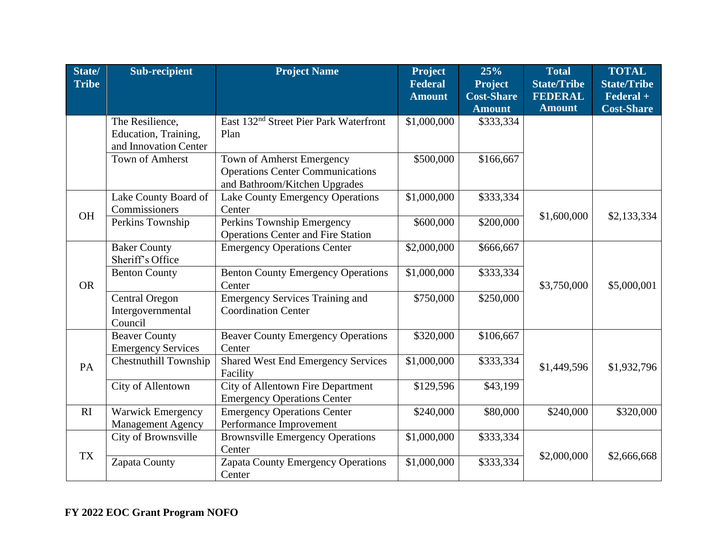| State/<br><b>Tribe</b> | <b>Sub-recipient</b>                                             | <b>Project Name</b>                                                                                   | <b>Project</b><br><b>Federal</b> | 25%<br><b>Project</b> | <b>Total</b><br><b>State/Tribe</b> | <b>TOTAL</b><br><b>State/Tribe</b> |
|------------------------|------------------------------------------------------------------|-------------------------------------------------------------------------------------------------------|----------------------------------|-----------------------|------------------------------------|------------------------------------|
|                        |                                                                  |                                                                                                       | <b>Amount</b>                    | <b>Cost-Share</b>     | <b>FEDERAL</b>                     | $\textbf{Federal} +$               |
|                        |                                                                  |                                                                                                       |                                  | <b>Amount</b>         | <b>Amount</b>                      | <b>Cost-Share</b>                  |
|                        | The Resilience,<br>Education, Training,<br>and Innovation Center | East 132 <sup>nd</sup> Street Pier Park Waterfront<br>Plan                                            | \$1,000,000                      | \$333,334             |                                    |                                    |
|                        | Town of Amherst                                                  | Town of Amherst Emergency<br><b>Operations Center Communications</b><br>and Bathroom/Kitchen Upgrades | \$500,000                        | \$166,667             |                                    |                                    |
| <b>OH</b>              | Lake County Board of<br>Commissioners                            | Lake County Emergency Operations<br>Center                                                            | \$1,000,000                      | \$333,334             | \$1,600,000                        | \$2,133,334                        |
|                        | Perkins Township                                                 | Perkins Township Emergency<br><b>Operations Center and Fire Station</b>                               | \$600,000                        | \$200,000             |                                    |                                    |
|                        | <b>Baker County</b><br>Sheriff's Office                          | <b>Emergency Operations Center</b>                                                                    | \$2,000,000                      | \$666,667             |                                    |                                    |
| <b>OR</b>              | <b>Benton County</b>                                             | <b>Benton County Emergency Operations</b><br>Center                                                   | \$1,000,000                      | \$333,334             | \$3,750,000                        | \$5,000,001                        |
|                        | <b>Central Oregon</b><br>Intergovernmental<br>Council            | <b>Emergency Services Training and</b><br><b>Coordination Center</b>                                  | \$750,000                        | \$250,000             |                                    |                                    |
|                        | <b>Beaver County</b><br><b>Emergency Services</b>                | <b>Beaver County Emergency Operations</b><br>Center                                                   | \$320,000                        | \$106,667             |                                    |                                    |
| PA                     | <b>Chestnuthill Township</b>                                     | <b>Shared West End Emergency Services</b><br>Facility                                                 | \$1,000,000                      | \$333,334             | \$1,449,596                        | \$1,932,796                        |
|                        | City of Allentown                                                | <b>City of Allentown Fire Department</b><br><b>Emergency Operations Center</b>                        | \$129,596                        | \$43,199              |                                    |                                    |
| RI                     | <b>Warwick Emergency</b><br>Management Agency                    | <b>Emergency Operations Center</b><br>Performance Improvement                                         | \$240,000                        | \$80,000              | \$240,000                          | \$320,000                          |
| <b>TX</b>              | City of Brownsville                                              | <b>Brownsville Emergency Operations</b><br>Center                                                     | \$1,000,000                      | \$333,334             |                                    |                                    |
|                        | Zapata County                                                    | <b>Zapata County Emergency Operations</b><br>Center                                                   | \$1,000,000                      | \$333,334             | \$2,000,000                        | \$2,666,668                        |